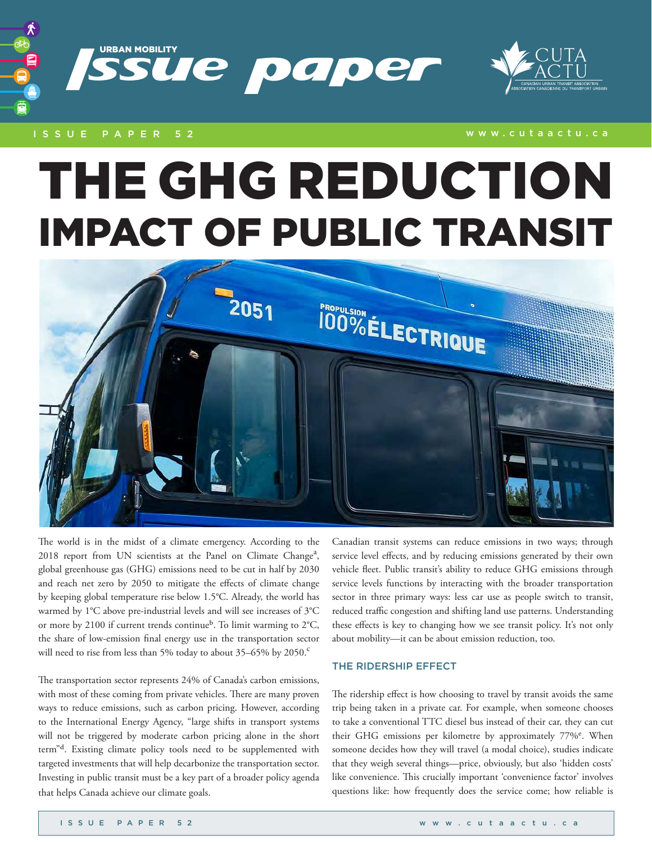

## ISSUE PAPER 52 www.cutaactu.ca

# THE GHG REDUCTION IMPACT OF PUBLIC TRANSIT



The world is in the midst of a climate emergency. According to the 2018 report from UN scientists at the Panel on Climate Change<sup>a</sup>, global greenhouse gas (GHG) emissions need to be cut in half by 2030 and reach net zero by 2050 to mitigate the effects of climate change by keeping global temperature rise below 1.5°C. Already, the world has warmed by 1°C above pre-industrial levels and will see increases of 3°C or more by 2100 if current trends continue<sup>b</sup>. To limit warming to  $2^{\circ}C$ , the share of low-emission final energy use in the transportation sector will need to rise from less than 5% today to about  $35-65\%$  by  $2050$ .<sup>c</sup>

The transportation sector represents 24% of Canada's carbon emissions, with most of these coming from private vehicles. There are many proven ways to reduce emissions, such as carbon pricing. However, according to the International Energy Agency, "large shifts in transport systems will not be triggered by moderate carbon pricing alone in the short term"d. Existing climate policy tools need to be supplemented with targeted investments that will help decarbonize the transportation sector. Investing in public transit must be a key part of a broader policy agenda that helps Canada achieve our climate goals.

Canadian transit systems can reduce emissions in two ways; through service level effects, and by reducing emissions generated by their own vehicle fleet. Public transit's ability to reduce GHG emissions through service levels functions by interacting with the broader transportation sector in three primary ways: less car use as people switch to transit, reduced traffic congestion and shifting land use patterns. Understanding these effects is key to changing how we see transit policy. It's not only about mobility—it can be about emission reduction, too.

## THE RIDERSHIP EFFECT

The ridership effect is how choosing to travel by transit avoids the same trip being taken in a private car. For example, when someone chooses to take a conventional TTC diesel bus instead of their car, they can cut their GHG emissions per kilometre by approximately 77%<sup>e</sup>. When someone decides how they will travel (a modal choice), studies indicate that they weigh several things—price, obviously, but also 'hidden costs' like convenience. This crucially important 'convenience factor' involves questions like: how frequently does the service come; how reliable is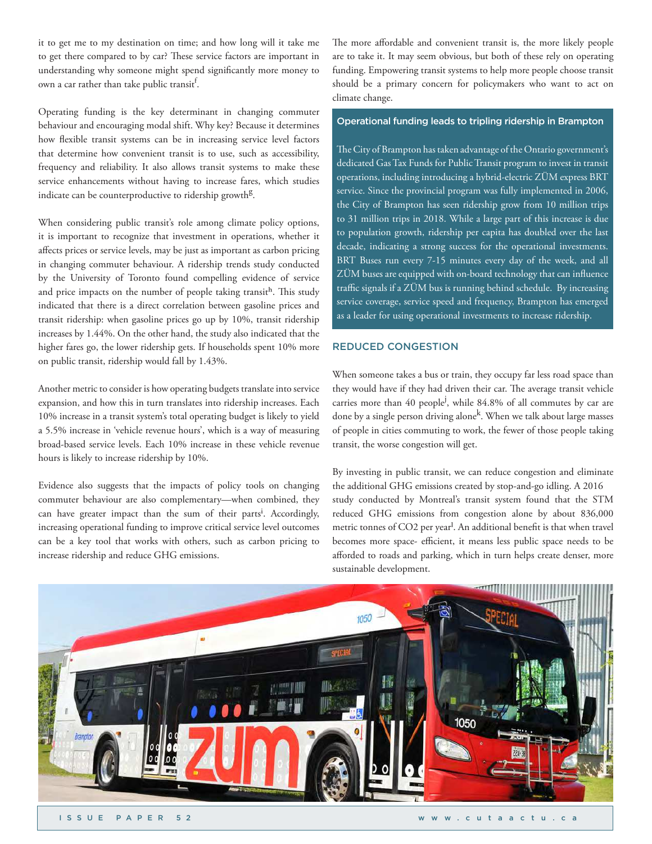it to get me to my destination on time; and how long will it take me to get there compared to by car? These service factors are important in understanding why someone might spend significantly more money to own a car rather than take public transit $^{\rm f.}$ 

Operating funding is the key determinant in changing commuter behaviour and encouraging modal shift. Why key? Because it determines how flexible transit systems can be in increasing service level factors that determine how convenient transit is to use, such as accessibility, frequency and reliability. It also allows transit systems to make these service enhancements without having to increase fares, which studies indicate can be counterproductive to ridership growth<sup>g</sup>.

When considering public transit's role among climate policy options, it is important to recognize that investment in operations, whether it affects prices or service levels, may be just as important as carbon pricing in changing commuter behaviour. A ridership trends study conducted by the University of Toronto found compelling evidence of service and price impacts on the number of people taking transit<sup>h</sup>. This study indicated that there is a direct correlation between gasoline prices and transit ridership: when gasoline prices go up by 10%, transit ridership increases by 1.44%. On the other hand, the study also indicated that the higher fares go, the lower ridership gets. If households spent 10% more on public transit, ridership would fall by 1.43%.

Another metric to consider is how operating budgets translate into service expansion, and how this in turn translates into ridership increases. Each 10% increase in a transit system's total operating budget is likely to yield a 5.5% increase in 'vehicle revenue hours', which is a way of measuring broad-based service levels. Each 10% increase in these vehicle revenue hours is likely to increase ridership by 10%.

Evidence also suggests that the impacts of policy tools on changing commuter behaviour are also complementary—when combined, they can have greater impact than the sum of their parts<sup>i</sup>. Accordingly, increasing operational funding to improve critical service level outcomes can be a key tool that works with others, such as carbon pricing to increase ridership and reduce GHG emissions.

The more affordable and convenient transit is, the more likely people are to take it. It may seem obvious, but both of these rely on operating funding. Empowering transit systems to help more people choose transit should be a primary concern for policymakers who want to act on climate change.

#### Operational funding leads to tripling ridership in Brampton

The City of Brampton has taken advantage of the Ontario government's dedicated Gas Tax Funds for Public Transit program to invest in transit operations, including introducing a hybrid-electric ZÜM express BRT service. Since the provincial program was fully implemented in 2006, the City of Brampton has seen ridership grow from 10 million trips to 31 million trips in 2018. While a large part of this increase is due to population growth, ridership per capita has doubled over the last decade, indicating a strong success for the operational investments. BRT Buses run every 7-15 minutes every day of the week, and all ZÜM buses are equipped with on-board technology that can influence traffic signals if a ZÜM bus is running behind schedule. By increasing service coverage, service speed and frequency, Brampton has emerged as a leader for using operational investments to increase ridership.

## REDUCED CONGESTION

When someone takes a bus or train, they occupy far less road space than they would have if they had driven their car. The average transit vehicle carries more than 40 people<sup>j</sup>, while 84.8% of all commutes by car are done by a single person driving alone<sup>k</sup>. When we talk about large masses of people in cities commuting to work, the fewer of those people taking transit, the worse congestion will get.

By investing in public transit, we can reduce congestion and eliminate the additional GHG emissions created by stop-and-go idling. A 2016 study conducted by Montreal's transit system found that the STM reduced GHG emissions from congestion alone by about 836,000 metric tonnes of CO2 per yearl. An additional benefit is that when travel becomes more space- efficient, it means less public space needs to be afforded to roads and parking, which in turn helps create denser, more sustainable development.

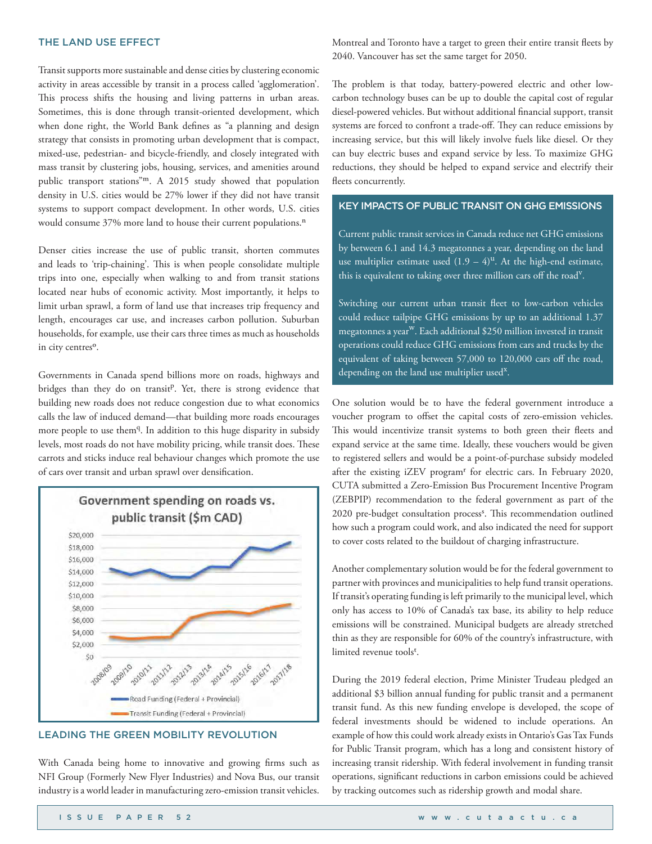#### THE LAND USE EFFECT

Transit supports more sustainable and dense cities by clustering economic activity in areas accessible by transit in a process called 'agglomeration'. This process shifts the housing and living patterns in urban areas. Sometimes, this is done through transit-oriented development, which when done right, the World Bank defines as "a planning and design strategy that consists in promoting urban development that is compact, mixed-use, pedestrian- and bicycle-friendly, and closely integrated with mass transit by clustering jobs, housing, services, and amenities around public transport stations"m. A 2015 study showed that population density in U.S. cities would be 27% lower if they did not have transit systems to support compact development. In other words, U.S. cities would consume 37% more land to house their current populations.<sup>n</sup>

Denser cities increase the use of public transit, shorten commutes and leads to 'trip-chaining'. This is when people consolidate multiple trips into one, especially when walking to and from transit stations located near hubs of economic activity. Most importantly, it helps to limit urban sprawl, a form of land use that increases trip frequency and length, encourages car use, and increases carbon pollution. Suburban households, for example, use their cars three times as much as households in city centres<sup>o</sup>.

Governments in Canada spend billions more on roads, highways and bridges than they do on transit<sup>p</sup>. Yet, there is strong evidence that building new roads does not reduce congestion due to what economics calls the law of induced demand—that building more roads encourages more people to use them<sup>q</sup>. In addition to this huge disparity in subsidy levels, most roads do not have mobility pricing, while transit does. These carrots and sticks induce real behaviour changes which promote the use of cars over transit and urban sprawl over densification.



# LEADING THE GREEN MOBILITY REVOLUTION

With Canada being home to innovative and growing firms such as NFI Group (Formerly New Flyer Industries) and Nova Bus, our transit industry is a world leader in manufacturing zero-emission transit vehicles. Montreal and Toronto have a target to green their entire transit fleets by 2040. Vancouver has set the same target for 2050.

The problem is that today, battery-powered electric and other lowcarbon technology buses can be up to double the capital cost of regular diesel-powered vehicles. But without additional financial support, transit systems are forced to confront a trade-off. They can reduce emissions by increasing service, but this will likely involve fuels like diesel. Or they can buy electric buses and expand service by less. To maximize GHG reductions, they should be helped to expand service and electrify their fleets concurrently.

# KEY IMPACTS OF PUBLIC TRANSIT ON GHG EMISSIONS

Current public transit services in Canada reduce net GHG emissions by between 6.1 and 14.3 megatonnes a year, depending on the land use multiplier estimate used  $(1.9 - 4)^u$ . At the high-end estimate, this is equivalent to taking over three million cars off the road<sup>v</sup>.

Switching our current urban transit fleet to low-carbon vehicles could reduce tailpipe GHG emissions by up to an additional 1.37 megatonnes a year<sup>w</sup>. Each additional \$250 million invested in transit operations could reduce GHG emissions from cars and trucks by the equivalent of taking between 57,000 to 120,000 cars off the road, depending on the land use multiplier used $^{\mathrm{x}}.$ 

One solution would be to have the federal government introduce a voucher program to offset the capital costs of zero-emission vehicles. This would incentivize transit systems to both green their fleets and expand service at the same time. Ideally, these vouchers would be given to registered sellers and would be a point-of-purchase subsidy modeled after the existing iZEV program<sup>r</sup> for electric cars. In February 2020, CUTA submitted a Zero-Emission Bus Procurement Incentive Program (ZEBPIP) recommendation to the federal government as part of the 2020 pre-budget consultation process<sup>s</sup>. This recommendation outlined how such a program could work, and also indicated the need for support to cover costs related to the buildout of charging infrastructure.

Another complementary solution would be for the federal government to partner with provinces and municipalities to help fund transit operations. If transit's operating funding is left primarily to the municipal level, which only has access to 10% of Canada's tax base, its ability to help reduce emissions will be constrained. Municipal budgets are already stretched thin as they are responsible for 60% of the country's infrastructure, with limited revenue tools<sup>t</sup>.

During the 2019 federal election, Prime Minister Trudeau pledged an additional \$3 billion annual funding for public transit and a permanent transit fund. As this new funding envelope is developed, the scope of federal investments should be widened to include operations. An example of how this could work already exists in Ontario's Gas Tax Funds for Public Transit program, which has a long and consistent history of increasing transit ridership. With federal involvement in funding transit operations, significant reductions in carbon emissions could be achieved by tracking outcomes such as ridership growth and modal share.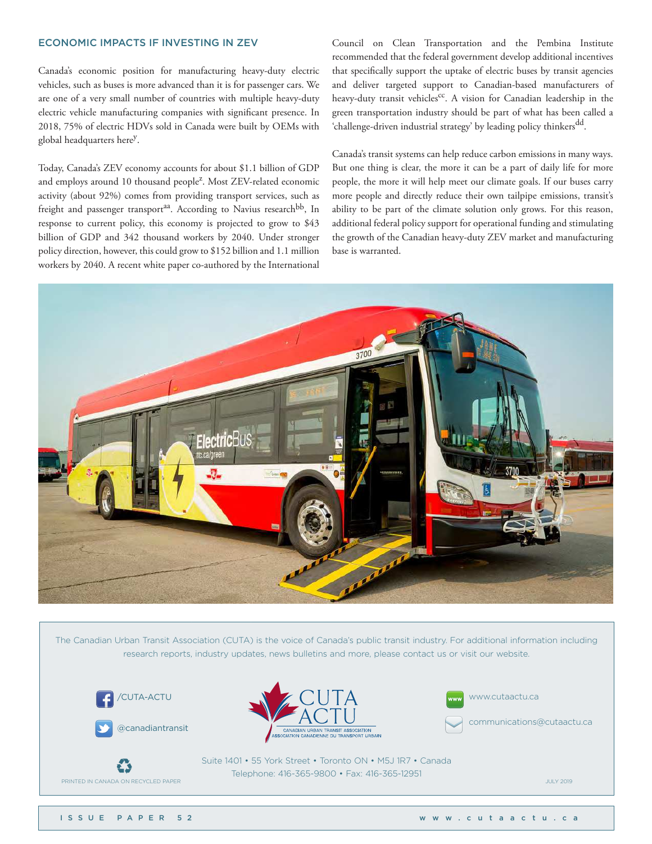# ECONOMIC IMPACTS IF INVESTING IN ZEV

Canada's economic position for manufacturing heavy-duty electric vehicles, such as buses is more advanced than it is for passenger cars. We are one of a very small number of countries with multiple heavy-duty electric vehicle manufacturing companies with significant presence. In 2018, 75% of electric HDVs sold in Canada were built by OEMs with global headquarters here<sup>y</sup>.

Today, Canada's ZEV economy accounts for about \$1.1 billion of GDP and employs around 10 thousand people<sup>z</sup>. Most ZEV-related economic activity (about 92%) comes from providing transport services, such as freight and passenger transport<sup>aa</sup>. According to Navius research<sup>bb</sup>, In response to current policy, this economy is projected to grow to \$43 billion of GDP and 342 thousand workers by 2040. Under stronger policy direction, however, this could grow to \$152 billion and 1.1 million workers by 2040. A recent white paper co-authored by the International

Council on Clean Transportation and the Pembina Institute recommended that the federal government develop additional incentives that specifically support the uptake of electric buses by transit agencies and deliver targeted support to Canadian-based manufacturers of heavy-duty transit vehicles<sup>cc</sup>. A vision for Canadian leadership in the green transportation industry should be part of what has been called a 'challenge-driven industrial strategy' by leading policy thinkers<sup>dd</sup>.

Canada's transit systems can help reduce carbon emissions in many ways. But one thing is clear, the more it can be a part of daily life for more people, the more it will help meet our climate goals. If our buses carry more people and directly reduce their own tailpipe emissions, transit's ability to be part of the climate solution only grows. For this reason, additional federal policy support for operational funding and stimulating the growth of the Canadian heavy-duty ZEV market and manufacturing base is warranted.



The Canadian Urban Transit Association (CUTA) is the voice of Canada's public transit industry. For additional information including research reports, industry updates, news bulletins and more, please contact us or visit our website.









communications@cutaactu.ca



E3